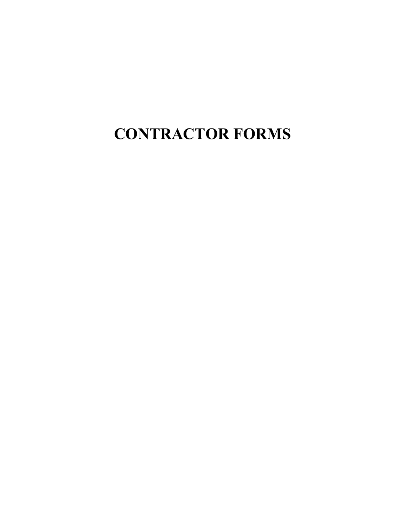**CONTRACTOR FORMS**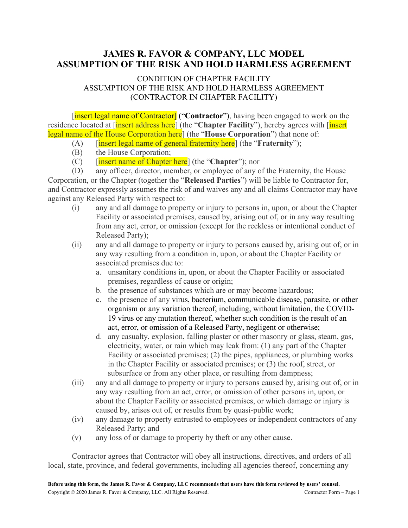# **JAMES R. FAVOR & COMPANY, LLC MODEL ASSUMPTION OF THE RISK AND HOLD HARMLESS AGREEMENT**

# CONDITION OF CHAPTER FACILITY ASSUMPTION OF THE RISK AND HOLD HARMLESS AGREEMENT (CONTRACTOR IN CHAPTER FACILITY)

[insert legal name of Contractor] ("**Contractor**"), having been engaged to work on the residence located at [insert address here] (the "**Chapter Facility**"), hereby agrees with [insert legal name of the House Corporation here] (the "**House Corporation**") that none of:

- (A) [insert legal name of general fraternity here] (the "**Fraternity**");
- (B) the House Corporation;
- (C) [insert name of Chapter here] (the "**Chapter**"); nor

(D) any officer, director, member, or employee of any of the Fraternity, the House Corporation, or the Chapter (together the "**Released Parties**") will be liable to Contractor for, and Contractor expressly assumes the risk of and waives any and all claims Contractor may have against any Released Party with respect to:

- (i) any and all damage to property or injury to persons in, upon, or about the Chapter Facility or associated premises, caused by, arising out of, or in any way resulting from any act, error, or omission (except for the reckless or intentional conduct of Released Party);
- (ii) any and all damage to property or injury to persons caused by, arising out of, or in any way resulting from a condition in, upon, or about the Chapter Facility or associated premises due to:
	- a. unsanitary conditions in, upon, or about the Chapter Facility or associated premises, regardless of cause or origin;
	- b. the presence of substances which are or may become hazardous;
	- c. the presence of any virus, bacterium, communicable disease, parasite, or other organism or any variation thereof, including, without limitation, the COVID-19 virus or any mutation thereof, whether such condition is the result of an act, error, or omission of a Released Party, negligent or otherwise;
	- d. any casualty, explosion, falling plaster or other masonry or glass, steam, gas, electricity, water, or rain which may leak from: (1) any part of the Chapter Facility or associated premises; (2) the pipes, appliances, or plumbing works in the Chapter Facility or associated premises; or (3) the roof, street, or subsurface or from any other place, or resulting from dampness;
- (iii) any and all damage to property or injury to persons caused by, arising out of, or in any way resulting from an act, error, or omission of other persons in, upon, or about the Chapter Facility or associated premises, or which damage or injury is caused by, arises out of, or results from by quasi-public work;
- (iv) any damage to property entrusted to employees or independent contractors of any Released Party; and
- (v) any loss of or damage to property by theft or any other cause.

Contractor agrees that Contractor will obey all instructions, directives, and orders of all local, state, province, and federal governments, including all agencies thereof, concerning any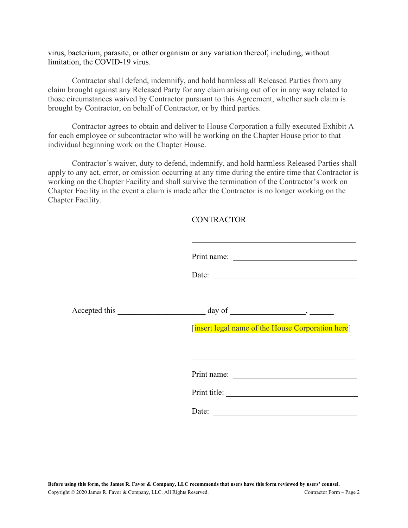virus, bacterium, parasite, or other organism or any variation thereof, including, without limitation, the COVID-19 virus.

Contractor shall defend, indemnify, and hold harmless all Released Parties from any claim brought against any Released Party for any claim arising out of or in any way related to those circumstances waived by Contractor pursuant to this Agreement, whether such claim is brought by Contractor, on behalf of Contractor, or by third parties.

Contractor agrees to obtain and deliver to House Corporation a fully executed Exhibit A for each employee or subcontractor who will be working on the Chapter House prior to that individual beginning work on the Chapter House.

Contractor's waiver, duty to defend, indemnify, and hold harmless Released Parties shall apply to any act, error, or omission occurring at any time during the entire time that Contractor is working on the Chapter Facility and shall survive the termination of the Contractor's work on Chapter Facility in the event a claim is made after the Contractor is no longer working on the Chapter Facility.

# **CONTRACTOR**

| [insert legal name of the House Corporation here] |
|---------------------------------------------------|
| Print title:<br>Date:                             |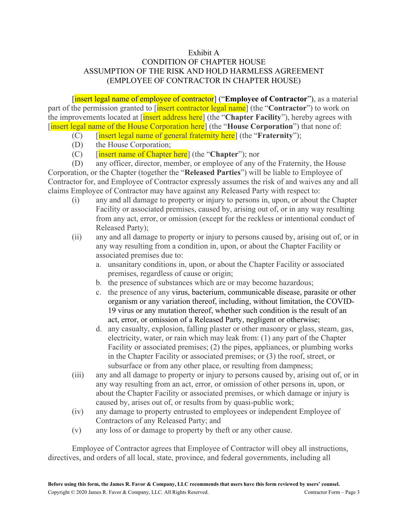# Exhibit A CONDITION OF CHAPTER HOUSE ASSUMPTION OF THE RISK AND HOLD HARMLESS AGREEMENT (EMPLOYEE OF CONTRACTOR IN CHAPTER HOUSE)

[insert legal name of employee of contractor] ("Employee of Contractor"), as a material part of the permission granted to [insert contractor legal name] (the "**Contractor**") to work on the improvements located at [insert address here] (the "**Chapter Facility**"), hereby agrees with [insert legal name of the House Corporation here] (the "**House Corporation**") that none of:

- (C) [insert legal name of general fraternity here] (the "**Fraternity**");
- (D) the House Corporation;
- (C) [insert name of Chapter here] (the "**Chapter**"); nor

(D) any officer, director, member, or employee of any of the Fraternity, the House Corporation, or the Chapter (together the "**Released Parties**") will be liable to Employee of Contractor for, and Employee of Contractor expressly assumes the risk of and waives any and all claims Employee of Contractor may have against any Released Party with respect to:

- (i) any and all damage to property or injury to persons in, upon, or about the Chapter Facility or associated premises, caused by, arising out of, or in any way resulting from any act, error, or omission (except for the reckless or intentional conduct of Released Party);
- (ii) any and all damage to property or injury to persons caused by, arising out of, or in any way resulting from a condition in, upon, or about the Chapter Facility or associated premises due to:
	- a. unsanitary conditions in, upon, or about the Chapter Facility or associated premises, regardless of cause or origin;
	- b. the presence of substances which are or may become hazardous;
	- c. the presence of any virus, bacterium, communicable disease, parasite or other organism or any variation thereof, including, without limitation, the COVID-19 virus or any mutation thereof, whether such condition is the result of an act, error, or omission of a Released Party, negligent or otherwise;
	- d. any casualty, explosion, falling plaster or other masonry or glass, steam, gas, electricity, water, or rain which may leak from: (1) any part of the Chapter Facility or associated premises; (2) the pipes, appliances, or plumbing works in the Chapter Facility or associated premises; or (3) the roof, street, or subsurface or from any other place, or resulting from dampness;
- (iii) any and all damage to property or injury to persons caused by, arising out of, or in any way resulting from an act, error, or omission of other persons in, upon, or about the Chapter Facility or associated premises, or which damage or injury is caused by, arises out of, or results from by quasi-public work;
- (iv) any damage to property entrusted to employees or independent Employee of Contractors of any Released Party; and
- (v) any loss of or damage to property by theft or any other cause.

Employee of Contractor agrees that Employee of Contractor will obey all instructions, directives, and orders of all local, state, province, and federal governments, including all